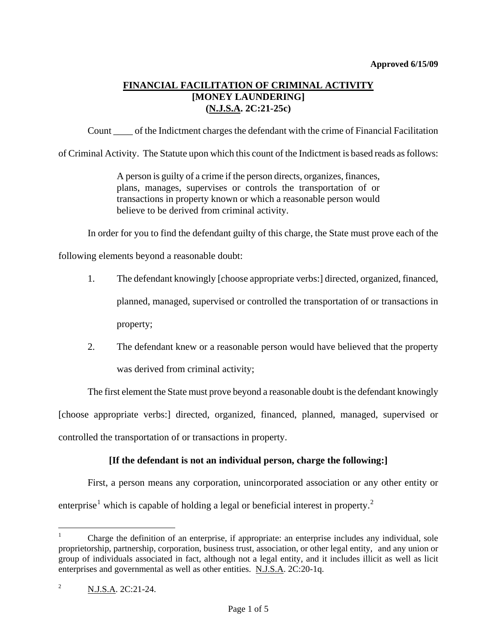# **FINANCIAL FACILITATION OF CRIMINAL ACTIVITY [MONEY LAUNDERING] (N.J.S.A. 2C:21-25c)**

Count \_\_\_\_ of the Indictment charges the defendant with the crime of Financial Facilitation

of Criminal Activity. The Statute upon which this count of the Indictment is based reads as follows:

A person is guilty of a crime if the person directs, organizes, finances, plans, manages, supervises or controls the transportation of or transactions in property known or which a reasonable person would believe to be derived from criminal activity.

In order for you to find the defendant guilty of this charge, the State must prove each of the

following elements beyond a reasonable doubt:

- 1. The defendant knowingly [choose appropriate verbs:] directed, organized, financed, planned, managed, supervised or controlled the transportation of or transactions in property;
- 2. The defendant knew or a reasonable person would have believed that the property was derived from criminal activity;

The first element the State must prove beyond a reasonable doubt is the defendant knowingly [choose appropriate verbs:] directed, organized, financed, planned, managed, supervised or

controlled the transportation of or transactions in property.

## **[If the defendant is not an individual person, charge the following:]**

First, a person means any corporation, unincorporated association or any other entity or enterprise<sup>[1](#page-0-0)</sup> which is capable of holding a legal or beneficial interest in property.<sup>[2](#page-0-1)</sup>

<span id="page-0-0"></span> $\frac{1}{1}$  Charge the definition of an enterprise, if appropriate: an enterprise includes any individual, sole proprietorship, partnership, corporation, business trust, association, or other legal entity, and any union or group of individuals associated in fact, although not a legal entity, and it includes illicit as well as licit enterprises and governmental as well as other entities. N.J.S.A. 2C:20-1q.

<span id="page-0-2"></span><span id="page-0-1"></span><sup>2</sup> N.J.S.A. 2C:21-24.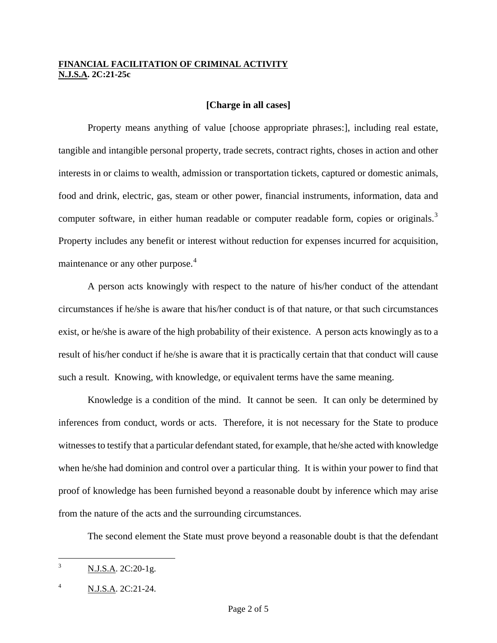#### **[Charge in all cases]**

Property means anything of value [choose appropriate phrases:], including real estate, tangible and intangible personal property, trade secrets, contract rights, choses in action and other interests in or claims to wealth, admission or transportation tickets, captured or domestic animals, food and drink, electric, gas, steam or other power, financial instruments, information, data and computer software, in either human readable or computer readable form, copies or originals.<sup>[3](#page-0-2)</sup> Property includes any benefit or interest without reduction for expenses incurred for acquisition, maintenance or any other purpose.<sup>[4](#page-1-0)</sup>

A person acts knowingly with respect to the nature of his/her conduct of the attendant circumstances if he/she is aware that his/her conduct is of that nature, or that such circumstances exist, or he/she is aware of the high probability of their existence. A person acts knowingly as to a result of his/her conduct if he/she is aware that it is practically certain that that conduct will cause such a result. Knowing, with knowledge, or equivalent terms have the same meaning.

Knowledge is a condition of the mind. It cannot be seen. It can only be determined by inferences from conduct, words or acts. Therefore, it is not necessary for the State to produce witnesses to testify that a particular defendant stated, for example, that he/she acted with knowledge when he/she had dominion and control over a particular thing. It is within your power to find that proof of knowledge has been furnished beyond a reasonable doubt by inference which may arise from the nature of the acts and the surrounding circumstances.

The second element the State must prove beyond a reasonable doubt is that the defendant

<span id="page-1-1"></span> $\frac{1}{3}$ N.J.S.A. 2C:20-1g.

<span id="page-1-0"></span><sup>4</sup> N.J.S.A. 2C:21-24.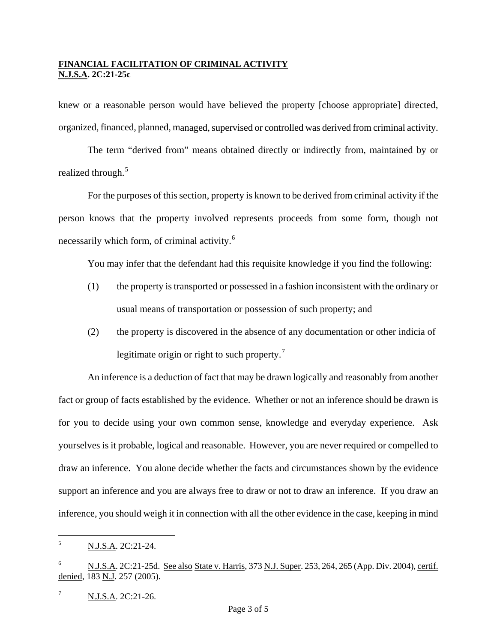knew or a reasonable person would have believed the property [choose appropriate] directed, organized, financed, planned, managed, supervised or controlled was derived from criminal activity.

The term "derived from" means obtained directly or indirectly from, maintained by or realized through.<sup>[5](#page-1-1)</sup>

For the purposes of this section, property is known to be derived from criminal activity if the person knows that the property involved represents proceeds from some form, though not necessarily which form, of criminal activity.<sup>[6](#page-2-0)</sup>

You may infer that the defendant had this requisite knowledge if you find the following:

- (1) the property is transported or possessed in a fashion inconsistent with the ordinary or usual means of transportation or possession of such property; and
- (2) the property is discovered in the absence of any documentation or other indicia of legitimate origin or right to such property.<sup>[7](#page-2-1)</sup>

An inference is a deduction of fact that may be drawn logically and reasonably from another fact or group of facts established by the evidence. Whether or not an inference should be drawn is for you to decide using your own common sense, knowledge and everyday experience. Ask yourselves is it probable, logical and reasonable. However, you are never required or compelled to draw an inference. You alone decide whether the facts and circumstances shown by the evidence support an inference and you are always free to draw or not to draw an inference. If you draw an inference, you should weigh it in connection with all the other evidence in the case, keeping in mind

<span id="page-2-2"></span> $\frac{1}{5}$ N.J.S.A. 2C:21-24.

<span id="page-2-0"></span><sup>6</sup> N.J.S.A. 2C:21-25d. See also State v. Harris, 373 N.J. Super. 253, 264, 265 (App. Div. 2004), certif. denied, 183 N.J. 257 (2005).

<span id="page-2-1"></span><sup>7</sup> N.J.S.A. 2C:21-26.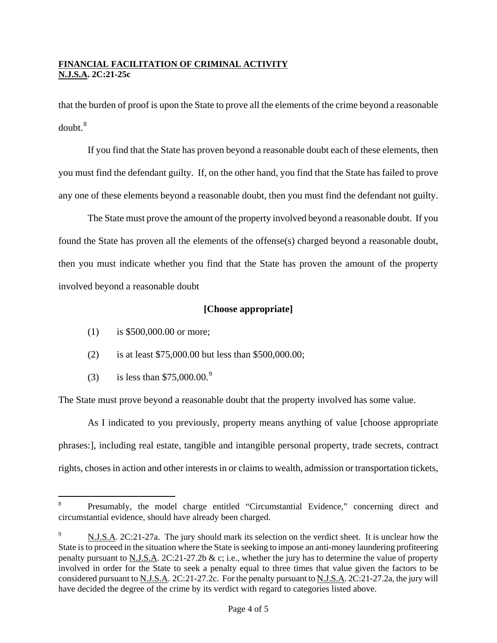that the burden of proof is upon the State to prove all the elements of the crime beyond a reasonable  $d$ oubt $<sup>8</sup>$  $<sup>8</sup>$  $<sup>8</sup>$ </sup>

If you find that the State has proven beyond a reasonable doubt each of these elements, then you must find the defendant guilty. If, on the other hand, you find that the State has failed to prove any one of these elements beyond a reasonable doubt, then you must find the defendant not guilty.

The State must prove the amount of the property involved beyond a reasonable doubt. If you found the State has proven all the elements of the offense(s) charged beyond a reasonable doubt, then you must indicate whether you find that the State has proven the amount of the property involved beyond a reasonable doubt

## **[Choose appropriate]**

- (1) is \$500,000.00 or more;
- (2) is at least \$75,000.00 but less than \$500,000.00;
- (3) is less than  $$75,000.00.^9$  $$75,000.00.^9$

The State must prove beyond a reasonable doubt that the property involved has some value.

As I indicated to you previously, property means anything of value [choose appropriate phrases:], including real estate, tangible and intangible personal property, trade secrets, contract rights, choses in action and other interests in or claims to wealth, admission or transportation tickets,

 8 Presumably, the model charge entitled "Circumstantial Evidence," concerning direct and circumstantial evidence, should have already been charged.

<span id="page-3-1"></span><span id="page-3-0"></span><sup>9</sup> N.J.S.A. 2C:21-27a. The jury should mark its selection on the verdict sheet. It is unclear how the State is to proceed in the situation where the State is seeking to impose an anti-money laundering profiteering penalty pursuant to N.J.S.A. 2C:21-27.2b & c; i.e., whether the jury has to determine the value of property involved in order for the State to seek a penalty equal to three times that value given the factors to be considered pursuant to N.J.S.A. 2C:21-27.2c. For the penalty pursuant to N.J.S.A. 2C:21-27.2a, the jury will have decided the degree of the crime by its verdict with regard to categories listed above.